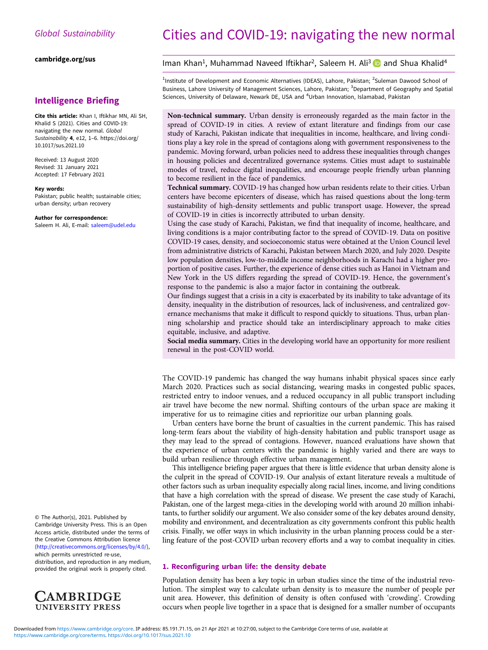[cambridge.org/sus](https://www.cambridge.org/sus)

## Intelligence Briefing

Cite this article: Khan I, Iftikhar MN, Ali SH, Khalid S (2021). Cities and COVID-19: navigating the new normal. Global Sustainability 4, e12, 1-6. [https://doi.org/](https://doi.org/10.1017/sus.2021.10) [10.1017/sus.2021.10](https://doi.org/10.1017/sus.2021.10)

Received: 13 August 2020 Revised: 31 January 2021 Accepted: 17 February 2021

#### Key words:

Pakistan; public health; sustainable cities; urban density; urban recovery

#### Author for correspondence:

Saleem H. Ali, E-mail: [saleem@udel.edu](mailto:saleem@udel.edu)

© The Author(s), 2021. Published by Cambridge University Press. This is an Open Access article, distributed under the terms of the Creative Commons Attribution licence ([http://creativecommons.org/licenses/by/4.0/\)](http://creativecommons.org/licenses/by/4.0/),

which permits unrestricted re-use, distribution, and reproduction in any medium, provided the original work is properly cited.



# Cities and COVID-19: navigating the new normal

## Iman Khan<sup>1</sup>, Muhammad Naveed Iftikhar<sup>2</sup>, Saleem H. Ali<sup>3</sup> and Shua Khalid<sup>4</sup>

<sup>1</sup>Institute of Development and Economic Alternatives (IDEAS), Lahore, Pakistan; <sup>2</sup>Suleman Dawood School of Business, Lahore University of Management Sciences, Lahore, Pakistan; <sup>3</sup>Department of Geography and Spatial Sciences, University of Delaware, Newark DE, USA and <sup>4</sup>Urban Innovation, Islamabad, Pakistan

Non-technical summary. Urban density is erroneously regarded as the main factor in the spread of COVID-19 in cities. A review of extant literature and findings from our case study of Karachi, Pakistan indicate that inequalities in income, healthcare, and living conditions play a key role in the spread of contagions along with government responsiveness to the pandemic. Moving forward, urban policies need to address these inequalities through changes in housing policies and decentralized governance systems. Cities must adapt to sustainable modes of travel, reduce digital inequalities, and encourage people friendly urban planning to become resilient in the face of pandemics.

Technical summary. COVID-19 has changed how urban residents relate to their cities. Urban centers have become epicenters of disease, which has raised questions about the long-term sustainability of high-density settlements and public transport usage. However, the spread of COVID-19 in cities is incorrectly attributed to urban density.

Using the case study of Karachi, Pakistan, we find that inequality of income, healthcare, and living conditions is a major contributing factor to the spread of COVID-19. Data on positive COVID-19 cases, density, and socioeconomic status were obtained at the Union Council level from administrative districts of Karachi, Pakistan between March 2020, and July 2020. Despite low population densities, low-to-middle income neighborhoods in Karachi had a higher proportion of positive cases. Further, the experience of dense cities such as Hanoi in Vietnam and New York in the US differs regarding the spread of COVID-19. Hence, the government's response to the pandemic is also a major factor in containing the outbreak.

Our findings suggest that a crisis in a city is exacerbated by its inability to take advantage of its density, inequality in the distribution of resources, lack of inclusiveness, and centralized governance mechanisms that make it difficult to respond quickly to situations. Thus, urban planning scholarship and practice should take an interdisciplinary approach to make cities equitable, inclusive, and adaptive.

Social media summary. Cities in the developing world have an opportunity for more resilient renewal in the post-COVID world.

The COVID-19 pandemic has changed the way humans inhabit physical spaces since early March 2020. Practices such as social distancing, wearing masks in congested public spaces, restricted entry to indoor venues, and a reduced occupancy in all public transport including air travel have become the new normal. Shifting contours of the urban space are making it imperative for us to reimagine cities and reprioritize our urban planning goals.

Urban centers have borne the brunt of casualties in the current pandemic. This has raised long-term fears about the viability of high-density habitation and public transport usage as they may lead to the spread of contagions. However, nuanced evaluations have shown that the experience of urban centers with the pandemic is highly varied and there are ways to build urban resilience through effective urban management.

This intelligence briefing paper argues that there is little evidence that urban density alone is the culprit in the spread of COVID-19. Our analysis of extant literature reveals a multitude of other factors such as urban inequality especially along racial lines, income, and living conditions that have a high correlation with the spread of disease. We present the case study of Karachi, Pakistan, one of the largest mega-cities in the developing world with around 20 million inhabitants, to further solidify our argument. We also consider some of the key debates around density, mobility and environment, and decentralization as city governments confront this public health crisis. Finally, we offer ways in which inclusivity in the urban planning process could be a sterling feature of the post-COVID urban recovery efforts and a way to combat inequality in cities.

## 1. Reconfiguring urban life: the density debate

Population density has been a key topic in urban studies since the time of the industrial revolution. The simplest way to calculate urban density is to measure the number of people per unit area. However, this definition of density is often confused with 'crowding'. Crowding occurs when people live together in a space that is designed for a smaller number of occupants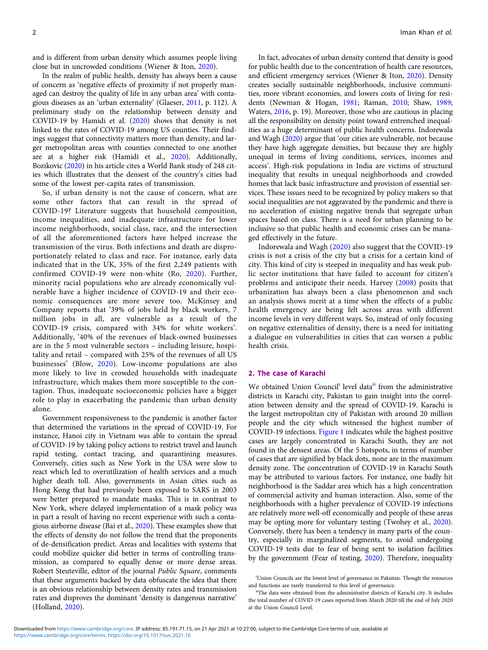and is different from urban density which assumes people living close but in uncrowded conditions (Wiener & Iton, [2020](#page-5-0)).

In the realm of public health, density has always been a cause of concern as 'negative effects of proximity if not properly managed can destroy the quality of life in any urban area' with contagious diseases as an 'urban externality' (Glaeser, [2011,](#page-5-0) p. 112). A preliminary study on the relationship between density and COVID-19 by Hamidi et al. [\(2020\)](#page-5-0) shows that density is not linked to the rates of COVID-19 among US counties. Their findings suggest that connectivity matters more than density, and larger metropolitan areas with counties connected to one another are at a higher risk (Hamidi et al., [2020](#page-5-0)). Additionally, Bozikovic ([2020](#page-5-0)) in his article cites a World Bank study of 248 cities which illustrates that the densest of the country's cities had some of the lowest per-capita rates of transmission.

So, if urban density is not the cause of concern, what are some other factors that can result in the spread of COVID-19? Literature suggests that household composition, income inequalities, and inadequate infrastructure for lower income neighborhoods, social class, race, and the intersection of all the aforementioned factors have helped increase the transmission of the virus. Both infections and death are disproportionately related to class and race. For instance, early data indicated that in the UK, 35% of the first 2,249 patients with confirmed COVID-19 were non-white (Ro, [2020](#page-5-0)). Further, minority racial populations who are already economically vulnerable have a higher incidence of COVID-19 and their economic consequences are more severe too. McKinsey and Company reports that '39% of jobs held by black workers, 7 million jobs in all, are vulnerable as a result of the COVID-19 crisis, compared with 34% for white workers'. Additionally, '40% of the revenues of black-owned businesses are in the 5 most vulnerable sectors – including leisure, hospitality and retail – compared with 25% of the revenues of all US businesses' (Blow, [2020](#page-5-0)). Low-income populations are also more likely to live in crowded households with inadequate infrastructure, which makes them more susceptible to the contagion. Thus, inadequate socioeconomic policies have a bigger role to play in exacerbating the pandemic than urban density alone.

Government responsiveness to the pandemic is another factor that determined the variations in the spread of COVID-19. For instance, Hanoi city in Vietnam was able to contain the spread of COVID-19 by taking policy actions to restrict travel and launch rapid testing, contact tracing, and quarantining measures. Conversely, cities such as New York in the USA were slow to react which led to overutilization of health services and a much higher death toll. Also, governments in Asian cities such as Hong Kong that had previously been exposed to SARS in 2003 were better prepared to mandate masks. This is in contrast to New York, where delayed implementation of a mask policy was in part a result of having no recent experience with such a contagious airborne disease (Bai et al., [2020](#page-5-0)). These examples show that the effects of density do not follow the trend that the proponents of de-densification predict. Areas and localities with systems that could mobilize quicker did better in terms of controlling transmission, as compared to equally dense or more dense areas. Robert Steuteville, editor of the journal Public Square, comments that these arguments backed by data obfuscate the idea that there is an obvious relationship between density rates and transmission rates and disproves the dominant 'density is dangerous narrative' (Holland, [2020](#page-5-0)).

In fact, advocates of urban density contend that density is good for public health due to the concentration of health care resources, and efficient emergency services (Wiener & Iton, [2020\)](#page-5-0). Density creates socially sustainable neighborhoods, inclusive communities, more vibrant economies, and lowers costs of living for residents (Newman & Hogan, [1981;](#page-5-0) Raman, [2010](#page-5-0); Shaw, [1989;](#page-5-0) Waters, [2016,](#page-5-0) p. 19). Moreover, those who are cautious in placing all the responsibility on density point toward entrenched inequalities as a huge determinant of public health concerns. Indorewala and Wagh ([2020](#page-5-0)) argue that 'our cities are vulnerable, not because they have high aggregate densities, but because they are highly unequal in terms of living conditions, services, incomes and access'. High-risk populations in India are victims of structural inequality that results in unequal neighborhoods and crowded homes that lack basic infrastructure and provision of essential services. These issues need to be recognized by policy makers so that social inequalities are not aggravated by the pandemic and there is no acceleration of existing negative trends that segregate urban spaces based on class. There is a need for urban planning to be inclusive so that public health and economic crises can be managed effectively in the future.

Indorewala and Wagh ([2020\)](#page-5-0) also suggest that the COVID-19 crisis is not a crisis of the city but a crisis for a certain kind of city. This kind of city is steeped in inequality and has weak public sector institutions that have failed to account for citizen's problems and anticipate their needs. Harvey [\(2008\)](#page-5-0) posits that urbanization has always been a class phenomenon and such an analysis shows merit at a time when the effects of a public health emergency are being felt across areas with different income levels in very different ways. So, instead of only focusing on negative externalities of density, there is a need for initiating a dialogue on vulnerabilities in cities that can worsen a public health crisis.

#### 2. The case of Karachi

We obtained Union Council<sup>i</sup> level data<sup>ii</sup> from the administrative districts in Karachi city, Pakistan to gain insight into the correlation between density and the spread of COVID-19. Karachi is the largest metropolitan city of Pakistan with around 20 million people and the city which witnessed the highest number of COVID-19 infections. [Figure 1](#page-2-0) indicates while the highest positive cases are largely concentrated in Karachi South, they are not found in the densest areas. Of the 5 hotspots, in terms of number of cases that are signified by black dots, none are in the maximum density zone. The concentration of COVID-19 in Karachi South may be attributed to various factors. For instance, one badly hit neighborhood is the Saddar area which has a high concentration of commercial activity and human interaction. Also, some of the neighborhoods with a higher prevalence of COVID-19 infections are relatively more well-off economically and people of these areas may be opting more for voluntary testing (Twohey et al., [2020](#page-5-0)). Conversely, there has been a tendency in many parts of the country, especially in marginalized segments, to avoid undergoing COVID-19 tests due to fear of being sent to isolation facilities by the government (Fear of testing, [2020\)](#page-5-0). Therefore, inequality

<sup>&</sup>lt;sup>i</sup>Union Councils are the lowest level of governance in Pakistan. Though the resources and functions are rarely transferred to this level of governance.

iiThe data were obtained from the administrative districts of Karachi city. It includes the total number of COVID-19 cases reported from March 2020 till the end of July 2020 at the Union Council Level.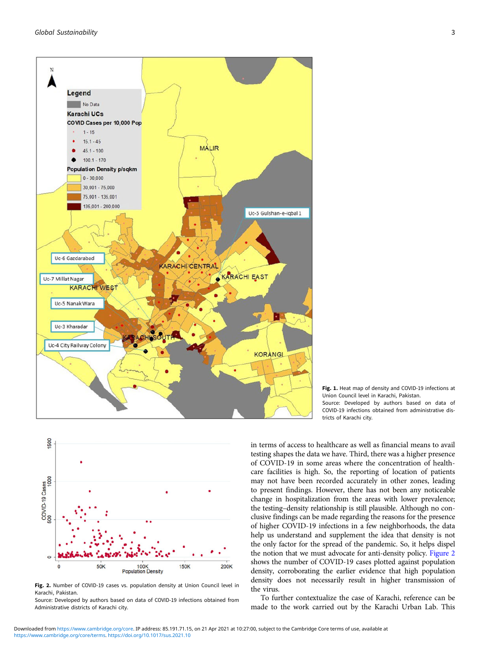<span id="page-2-0"></span>



Fig. 2. Number of COVID-19 cases vs. population density at Union Council level in Karachi, Pakistan.

Source: Developed by authors based on data of COVID-19 infections obtained from Administrative districts of Karachi city.

Fig. 1. Heat map of density and COVID-19 infections at Union Council level in Karachi, Pakistan. Source: Developed by authors based on data of COVID-19 infections obtained from administrative districts of Karachi city.

in terms of access to healthcare as well as financial means to avail testing shapes the data we have. Third, there was a higher presence of COVID-19 in some areas where the concentration of healthcare facilities is high. So, the reporting of location of patients may not have been recorded accurately in other zones, leading to present findings. However, there has not been any noticeable change in hospitalization from the areas with lower prevalence; the testing–density relationship is still plausible. Although no conclusive findings can be made regarding the reasons for the presence of higher COVID-19 infections in a few neighborhoods, the data help us understand and supplement the idea that density is not the only factor for the spread of the pandemic. So, it helps dispel the notion that we must advocate for anti-density policy. Figure 2 shows the number of COVID-19 cases plotted against population density, corroborating the earlier evidence that high population density does not necessarily result in higher transmission of the virus.

To further contextualize the case of Karachi, reference can be made to the work carried out by the Karachi Urban Lab. This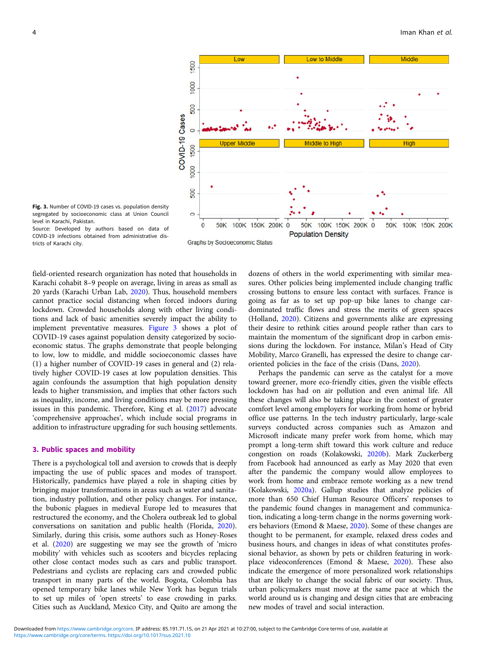

Fig. 3. Number of COVID-19 cases vs. population density segregated by socioeconomic class at Union Council level in Karachi, Pakistan.

Source: Developed by authors based on data of COVID-19 infections obtained from administrative districts of Karachi city.

**Graphs by Socioeconomic Status** 

field-oriented research organization has noted that households in Karachi cohabit 8–9 people on average, living in areas as small as 20 yards (Karachi Urban Lab, [2020\)](#page-5-0). Thus, household members cannot practice social distancing when forced indoors during lockdown. Crowded households along with other living conditions and lack of basic amenities severely impact the ability to implement preventative measures. Figure 3 shows a plot of COVID-19 cases against population density categorized by socioeconomic status. The graphs demonstrate that people belonging to low, low to middle, and middle socioeconomic classes have (1) a higher number of COVID-19 cases in general and (2) relatively higher COVID-19 cases at low population densities. This again confounds the assumption that high population density leads to higher transmission, and implies that other factors such as inequality, income, and living conditions may be more pressing issues in this pandemic. Therefore, King et al. ([2017\)](#page-5-0) advocate 'comprehensive approaches', which include social programs in addition to infrastructure upgrading for such housing settlements.

## 3. Public spaces and mobility

There is a psychological toll and aversion to crowds that is deeply impacting the use of public spaces and modes of transport. Historically, pandemics have played a role in shaping cities by bringing major transformations in areas such as water and sanitation, industry pollution, and other policy changes. For instance, the bubonic plagues in medieval Europe led to measures that restructured the economy, and the Cholera outbreak led to global conversations on sanitation and public health (Florida, [2020\)](#page-5-0). Similarly, during this crisis, some authors such as Honey-Roses et al. ([2020\)](#page-5-0) are suggesting we may see the growth of 'micro mobility' with vehicles such as scooters and bicycles replacing other close contact modes such as cars and public transport. Pedestrians and cyclists are replacing cars and crowded public transport in many parts of the world. Bogota, Colombia has opened temporary bike lanes while New York has begun trials to set up miles of 'open streets' to ease crowding in parks. Cities such as Auckland, Mexico City, and Quito are among the

dozens of others in the world experimenting with similar measures. Other policies being implemented include changing traffic crossing buttons to ensure less contact with surfaces. France is going as far as to set up pop-up bike lanes to change cardominated traffic flows and stress the merits of green spaces (Holland, [2020\)](#page-5-0). Citizens and governments alike are expressing their desire to rethink cities around people rather than cars to maintain the momentum of the significant drop in carbon emissions during the lockdown. For instance, Milan's Head of City Mobility, Marco Granelli, has expressed the desire to change caroriented policies in the face of the crisis (Dans, [2020](#page-5-0)).

Perhaps the pandemic can serve as the catalyst for a move toward greener, more eco-friendly cities, given the visible effects lockdown has had on air pollution and even animal life. All these changes will also be taking place in the context of greater comfort level among employers for working from home or hybrid office use patterns. In the tech industry particularly, large-scale surveys conducted across companies such as Amazon and Microsoft indicate many prefer work from home, which may prompt a long-term shift toward this work culture and reduce congestion on roads (Kolakowski, [2020b](#page-5-0)). Mark Zuckerberg from Facebook had announced as early as May 2020 that even after the pandemic the company would allow employees to work from home and embrace remote working as a new trend (Kolakowski, [2020a\)](#page-5-0). Gallup studies that analyze policies of more than 650 Chief Human Resource Officers' responses to the pandemic found changes in management and communication, indicating a long-term change in the norms governing workers behaviors (Emond & Maese, [2020](#page-5-0)). Some of these changes are thought to be permanent, for example, relaxed dress codes and business hours, and changes in ideas of what constitutes professional behavior, as shown by pets or children featuring in workplace videoconferences (Emond & Maese, [2020\)](#page-5-0). These also indicate the emergence of more personalized work relationships that are likely to change the social fabric of our society. Thus, urban policymakers must move at the same pace at which the world around us is changing and design cities that are embracing new modes of travel and social interaction.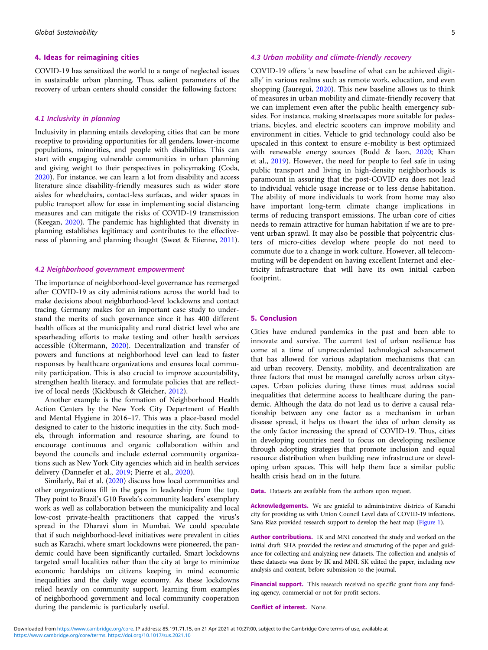#### 4. Ideas for reimagining cities

COVID-19 has sensitized the world to a range of neglected issues in sustainable urban planning. Thus, salient parameters of the recovery of urban centers should consider the following factors:

## 4.1 Inclusivity in planning

Inclusivity in planning entails developing cities that can be more receptive to providing opportunities for all genders, lower-income populations, minorities, and people with disabilities. This can start with engaging vulnerable communities in urban planning and giving weight to their perspectives in policymaking (Coda, [2020\)](#page-5-0). For instance, we can learn a lot from disability and access literature since disability-friendly measures such as wider store aisles for wheelchairs, contact-less surfaces, and wider spaces in public transport allow for ease in implementing social distancing measures and can mitigate the risks of COVID-19 transmission (Keegan, [2020\)](#page-5-0). The pandemic has highlighted that diversity in planning establishes legitimacy and contributes to the effectiveness of planning and planning thought (Sweet & Etienne, [2011\)](#page-5-0).

#### 4.2 Neighborhood government empowerment

The importance of neighborhood-level governance has reemerged after COVID-19 as city administrations across the world had to make decisions about neighborhood-level lockdowns and contact tracing. Germany makes for an important case study to understand the merits of such governance since it has 400 different health offices at the municipality and rural district level who are spearheading efforts to make testing and other health services accessible (Oltermann, [2020](#page-5-0)). Decentralization and transfer of powers and functions at neighborhood level can lead to faster responses by healthcare organizations and ensures local community participation. This is also crucial to improve accountability, strengthen health literacy, and formulate policies that are reflective of local needs (Kickbusch & Gleicher, [2012\)](#page-5-0).

Another example is the formation of Neighborhood Health Action Centers by the New York City Department of Health and Mental Hygiene in 2016–17. This was a place-based model designed to cater to the historic inequities in the city. Such models, through information and resource sharing, are found to encourage continuous and organic collaboration within and beyond the councils and include external community organizations such as New York City agencies which aid in health services delivery (Dannefer et al., [2019](#page-5-0); Pierre et al., [2020](#page-5-0)).

Similarly, Bai et al. [\(2020\)](#page-5-0) discuss how local communities and other organizations fill in the gaps in leadership from the top. They point to Brazil's G10 Favela's community leaders' exemplary work as well as collaboration between the municipality and local low-cost private-health practitioners that capped the virus's spread in the Dharavi slum in Mumbai. We could speculate that if such neighborhood-level initiatives were prevalent in cities such as Karachi, where smart lockdowns were pioneered, the pandemic could have been significantly curtailed. Smart lockdowns targeted small localities rather than the city at large to minimize economic hardships on citizens keeping in mind economic inequalities and the daily wage economy. As these lockdowns relied heavily on community support, learning from examples of neighborhood government and local community cooperation during the pandemic is particularly useful.

#### 4.3 Urban mobility and climate-friendly recovery

COVID-19 offers 'a new baseline of what can be achieved digitally' in various realms such as remote work, education, and even shopping (Jauregui, [2020](#page-5-0)). This new baseline allows us to think of measures in urban mobility and climate-friendly recovery that we can implement even after the public health emergency subsides. For instance, making streetscapes more suitable for pedestrians, bicyles, and electric scooters can improve mobility and environment in cities. Vehicle to grid technology could also be upscaled in this context to ensure e-mobility is best optimized with renewable energy sources (Budd & Ison, [2020](#page-5-0); Khan et al., [2019](#page-5-0)). However, the need for people to feel safe in using public transport and living in high-density neighborhoods is paramount in assuring that the post-COVID era does not lead to individual vehicle usage increase or to less dense habitation. The ability of more individuals to work from home may also have important long-term climate change implications in terms of reducing transport emissions. The urban core of cities needs to remain attractive for human habitation if we are to prevent urban sprawl. It may also be possible that polycentric clusters of micro-cities develop where people do not need to commute due to a change in work culture. However, all telecommuting will be dependent on having excellent Internet and electricity infrastructure that will have its own initial carbon footprint.

#### 5. Conclusion

Cities have endured pandemics in the past and been able to innovate and survive. The current test of urban resilience has come at a time of unprecedented technological advancement that has allowed for various adaptation mechanisms that can aid urban recovery. Density, mobility, and decentralization are three factors that must be managed carefully across urban cityscapes. Urban policies during these times must address social inequalities that determine access to healthcare during the pandemic. Although the data do not lead us to derive a causal relationship between any one factor as a mechanism in urban disease spread, it helps us thwart the idea of urban density as the only factor increasing the spread of COVID-19. Thus, cities in developing countries need to focus on developing resilience through adopting strategies that promote inclusion and equal resource distribution when building new infrastructure or developing urban spaces. This will help them face a similar public health crisis head on in the future.

Data. Datasets are available from the authors upon request.

Acknowledgements. We are grateful to administrative districts of Karachi city for providing us with Union Council Level data of COVID-19 infections. Sana Riaz provided research support to develop the heat map [\(Figure 1](#page-2-0)).

Author contributions. IK and MNI conceived the study and worked on the initial draft. SHA provided the review and structuring of the paper and guidance for collecting and analyzing new datasets. The collection and analysis of these datasets was done by IK and MNI. SK edited the paper, including new analysis and content, before submission to the journal.

Financial support. This research received no specific grant from any funding agency, commercial or not-for-profit sectors.

Conflict of interest. None.